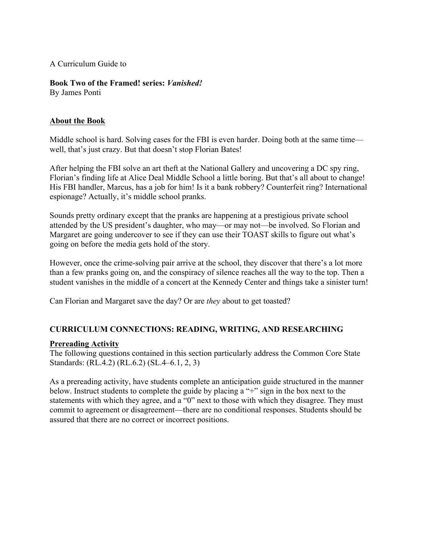#### A Curriculum Guide to

**Book Two of the Framed! series:** *Vanished!*

By James Ponti

#### **About the Book**

Middle school is hard. Solving cases for the FBI is even harder. Doing both at the same time well, that's just crazy. But that doesn't stop Florian Bates!

After helping the FBI solve an art theft at the National Gallery and uncovering a DC spy ring, Florian's finding life at Alice Deal Middle School a little boring. But that's all about to change! His FBI handler, Marcus, has a job for him! Is it a bank robbery? Counterfeit ring? International espionage? Actually, it's middle school pranks.

Sounds pretty ordinary except that the pranks are happening at a prestigious private school attended by the US president's daughter, who may—or may not—be involved. So Florian and Margaret are going undercover to see if they can use their TOAST skills to figure out what's going on before the media gets hold of the story.

However, once the crime-solving pair arrive at the school, they discover that there's a lot more than a few pranks going on, and the conspiracy of silence reaches all the way to the top. Then a student vanishes in the middle of a concert at the Kennedy Center and things take a sinister turn!

Can Florian and Margaret save the day? Or are *they* about to get toasted?

## **CURRICULUM CONNECTIONS: READING, WRITING, AND RESEARCHING**

## **Prereading Activity**

The following questions contained in this section particularly address the Common Core State Standards: (RL.4.2) (RL.6.2) (SL.4–6.1, 2, 3)

As a prereading activity, have students complete an anticipation guide structured in the manner below. Instruct students to complete the guide by placing a "+" sign in the box next to the statements with which they agree, and a "0" next to those with which they disagree. They must commit to agreement or disagreement—there are no conditional responses. Students should be assured that there are no correct or incorrect positions.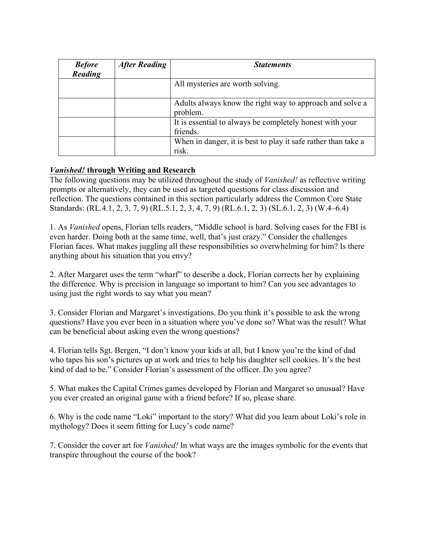| <b>Before</b><br>Reading | <b>After Reading</b> | <b>Statements</b>                                                      |
|--------------------------|----------------------|------------------------------------------------------------------------|
|                          |                      | All mysteries are worth solving.                                       |
|                          |                      | Adults always know the right way to approach and solve a<br>problem.   |
|                          |                      | It is essential to always be completely honest with your<br>friends.   |
|                          |                      | When in danger, it is best to play it safe rather than take a<br>risk. |

## *Vanished!* **through Writing and Research**

The following questions may be utilized throughout the study of *Vanished!* as reflective writing prompts or alternatively, they can be used as targeted questions for class discussion and reflection. The questions contained in this section particularly address the Common Core State Standards: (RL.4.1, 2, 3, 7, 9) (RL.5.1, 2, 3, 4, 7, 9) (RL.6.1, 2, 3) (SL.6.1, 2, 3) (W.4–6.4)

1. As *Vanished* opens, Florian tells readers, "Middle school is hard. Solving cases for the FBI is even harder. Doing both at the same time, well, that's just crazy." Consider the challenges Florian faces. What makes juggling all these responsibilities so overwhelming for him? Is there anything about his situation that you envy?

2. After Margaret uses the term "wharf" to describe a dock, Florian corrects her by explaining the difference. Why is precision in language so important to him? Can you see advantages to using just the right words to say what you mean?

3. Consider Florian and Margaret's investigations. Do you think it's possible to ask the wrong questions? Have you ever been in a situation where you've done so? What was the result? What can be beneficial about asking even the wrong questions?

4. Florian tells Sgt. Bergen, "I don't know your kids at all, but I know you're the kind of dad who tapes his son's pictures up at work and tries to help his daughter sell cookies. It's the best kind of dad to be." Consider Florian's assessment of the officer. Do you agree?

5. What makes the Capital Crimes games developed by Florian and Margaret so unusual? Have you ever created an original game with a friend before? If so, please share.

6. Why is the code name "Loki" important to the story? What did you learn about Loki's role in mythology? Does it seem fitting for Lucy's code name?

7. Consider the cover art for *Vanished!* In what ways are the images symbolic for the events that transpire throughout the course of the book?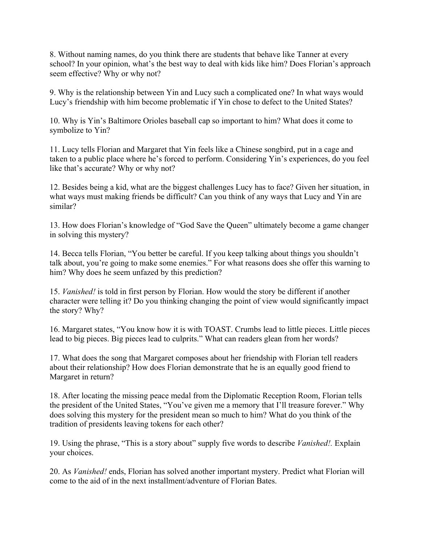8. Without naming names, do you think there are students that behave like Tanner at every school? In your opinion, what's the best way to deal with kids like him? Does Florian's approach seem effective? Why or why not?

9. Why is the relationship between Yin and Lucy such a complicated one? In what ways would Lucy's friendship with him become problematic if Yin chose to defect to the United States?

10. Why is Yin's Baltimore Orioles baseball cap so important to him? What does it come to symbolize to Yin?

11. Lucy tells Florian and Margaret that Yin feels like a Chinese songbird, put in a cage and taken to a public place where he's forced to perform. Considering Yin's experiences, do you feel like that's accurate? Why or why not?

12. Besides being a kid, what are the biggest challenges Lucy has to face? Given her situation, in what ways must making friends be difficult? Can you think of any ways that Lucy and Yin are similar?

13. How does Florian's knowledge of "God Save the Queen" ultimately become a game changer in solving this mystery?

14. Becca tells Florian, "You better be careful. If you keep talking about things you shouldn't talk about, you're going to make some enemies." For what reasons does she offer this warning to him? Why does he seem unfazed by this prediction?

15. *Vanished!* is told in first person by Florian. How would the story be different if another character were telling it? Do you thinking changing the point of view would significantly impact the story? Why?

16. Margaret states, "You know how it is with TOAST. Crumbs lead to little pieces. Little pieces lead to big pieces. Big pieces lead to culprits." What can readers glean from her words?

17. What does the song that Margaret composes about her friendship with Florian tell readers about their relationship? How does Florian demonstrate that he is an equally good friend to Margaret in return?

18. After locating the missing peace medal from the Diplomatic Reception Room, Florian tells the president of the United States, "You've given me a memory that I'll treasure forever." Why does solving this mystery for the president mean so much to him? What do you think of the tradition of presidents leaving tokens for each other?

19. Using the phrase, "This is a story about" supply five words to describe *Vanished!.* Explain your choices.

20. As *Vanished!* ends, Florian has solved another important mystery. Predict what Florian will come to the aid of in the next installment/adventure of Florian Bates.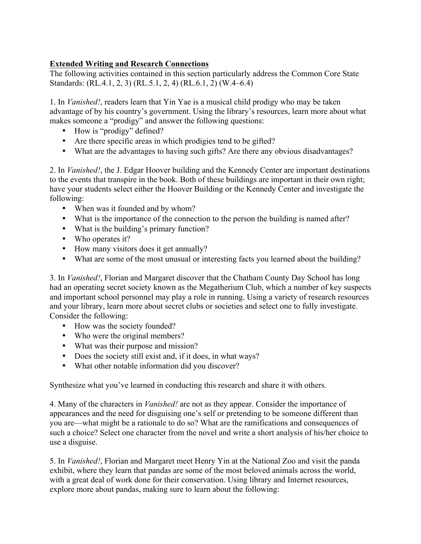# **Extended Writing and Research Connections**

The following activities contained in this section particularly address the Common Core State Standards: (RL.4.1, 2, 3) (RL.5.1, 2, 4) (RL.6.1, 2) (W.4–6.4)

1. In *Vanished!*, readers learn that Yin Yae is a musical child prodigy who may be taken advantage of by his country's government. Using the library's resources, learn more about what makes someone a "prodigy" and answer the following questions:

- How is "prodigy" defined?
- Are there specific areas in which prodigies tend to be gifted?
- What are the advantages to having such gifts? Are there any obvious disadvantages?

2. In *Vanished!*, the J. Edgar Hoover building and the Kennedy Center are important destinations to the events that transpire in the book. Both of these buildings are important in their own right; have your students select either the Hoover Building or the Kennedy Center and investigate the following:

- When was it founded and by whom?
- What is the importance of the connection to the person the building is named after?
- What is the building's primary function?
- Who operates it?
- How many visitors does it get annually?
- What are some of the most unusual or interesting facts you learned about the building?

3. In *Vanished!*, Florian and Margaret discover that the Chatham County Day School has long had an operating secret society known as the Megatherium Club, which a number of key suspects and important school personnel may play a role in running. Using a variety of research resources and your library, learn more about secret clubs or societies and select one to fully investigate. Consider the following:

- How was the society founded?
- Who were the original members?
- What was their purpose and mission?
- Does the society still exist and, if it does, in what ways?
- What other notable information did you discover?

Synthesize what you've learned in conducting this research and share it with others.

4. Many of the characters in *Vanished!* are not as they appear. Consider the importance of appearances and the need for disguising one's self or pretending to be someone different than you are—what might be a rationale to do so? What are the ramifications and consequences of such a choice? Select one character from the novel and write a short analysis of his/her choice to use a disguise.

5. In *Vanished!*, Florian and Margaret meet Henry Yin at the National Zoo and visit the panda exhibit, where they learn that pandas are some of the most beloved animals across the world, with a great deal of work done for their conservation. Using library and Internet resources, explore more about pandas, making sure to learn about the following: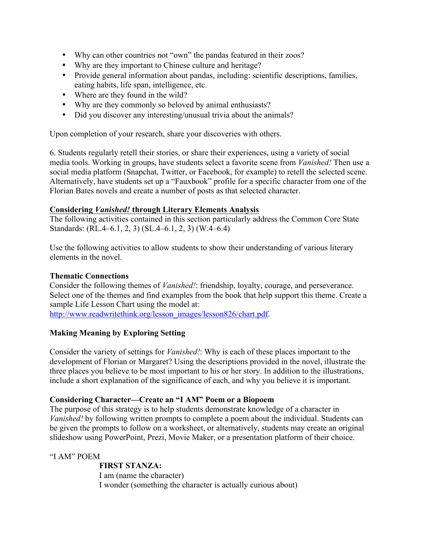- Why can other countries not "own" the pandas featured in their zoos?
- Why are they important to Chinese culture and heritage?
- Provide general information about pandas, including: scientific descriptions, families, eating habits, life span, intelligence, etc.
- Where are they found in the wild?
- Why are they commonly so beloved by animal enthusiasts?
- Did you discover any interesting/unusual trivia about the animals?

Upon completion of your research, share your discoveries with others.

6. Students regularly retell their stories, or share their experiences, using a variety of social media tools. Working in groups, have students select a favorite scene from *Vanished!* Then use a social media platform (Snapchat, Twitter, or Facebook, for example) to retell the selected scene. Alternatively, have students set up a "Fauxbook" profile for a specific character from one of the Florian Bates novels and create a number of posts as that selected character.

## **Considering** *Vanished!* **through Literary Elements Analysis**

The following activities contained in this section particularly address the Common Core State Standards: (RL.4–6.1, 2, 3) (SL.4–6.1, 2, 3) (W.4–6.4)

Use the following activities to allow students to show their understanding of various literary elements in the novel.

## **Thematic Connections**

Consider the following themes of *Vanished!*: friendship, loyalty, courage, and perseverance. Select one of the themes and find examples from the book that help support this theme. Create a sample Life Lesson Chart using the model at:

http://www.readwritethink.org/lesson\_images/lesson826/chart.pdf.

## **Making Meaning by Exploring Setting**

Consider the variety of settings for *Vanished!*: Why is each of these places important to the development of Florian or Margaret? Using the descriptions provided in the novel, illustrate the three places you believe to be most important to his or her story. In addition to the illustrations, include a short explanation of the significance of each, and why you believe it is important.

## **Considering Character—Create an "I AM" Poem or a Biopoem**

The purpose of this strategy is to help students demonstrate knowledge of a character in *Vanished!* by following written prompts to complete a poem about the individual. Students can be given the prompts to follow on a worksheet, or alternatively, students may create an original slideshow using PowerPoint, Prezi, Movie Maker, or a presentation platform of their choice.

"I AM" POEM

**FIRST STANZA:**  I am (name the character) I wonder (something the character is actually curious about)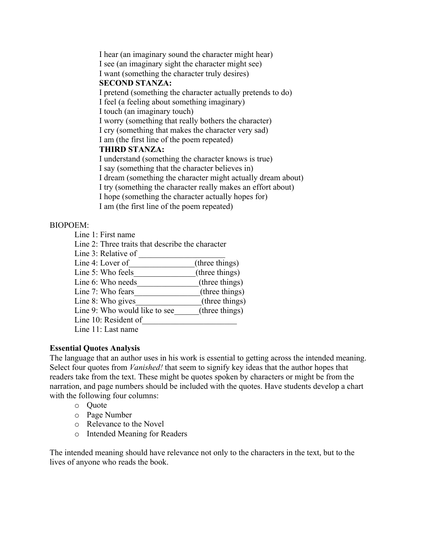I hear (an imaginary sound the character might hear) I see (an imaginary sight the character might see) I want (something the character truly desires) **SECOND STANZA:**  I pretend (something the character actually pretends to do) I feel (a feeling about something imaginary) I touch (an imaginary touch) I worry (something that really bothers the character) I cry (something that makes the character very sad) I am (the first line of the poem repeated) **THIRD STANZA:**  I understand (something the character knows is true) I say (something that the character believes in) I dream (something the character might actually dream about) I try (something the character really makes an effort about) I hope (something the character actually hopes for) I am (the first line of the poem repeated)

#### BIOPOEM:

- Line 1: First name
- Line 2: Three traits that describe the character
- Line 3: Relative of
- Line 4: Lover of (three things)
- Line 5: Who feels (three things)
- Line 6: Who needs\_\_\_\_\_\_\_\_\_\_\_\_\_(three things)
- Line 7: Who fears (three things)
- Line 8: Who gives (three things)
- Line 9: Who would like to see  $(three \ things)$
- Line 10: Resident of
- Line 11: Last name

## **Essential Quotes Analysis**

The language that an author uses in his work is essential to getting across the intended meaning. Select four quotes from *Vanished!* that seem to signify key ideas that the author hopes that readers take from the text. These might be quotes spoken by characters or might be from the narration, and page numbers should be included with the quotes. Have students develop a chart with the following four columns:

- o Quote
- o Page Number
- o Relevance to the Novel
- o Intended Meaning for Readers

The intended meaning should have relevance not only to the characters in the text, but to the lives of anyone who reads the book.